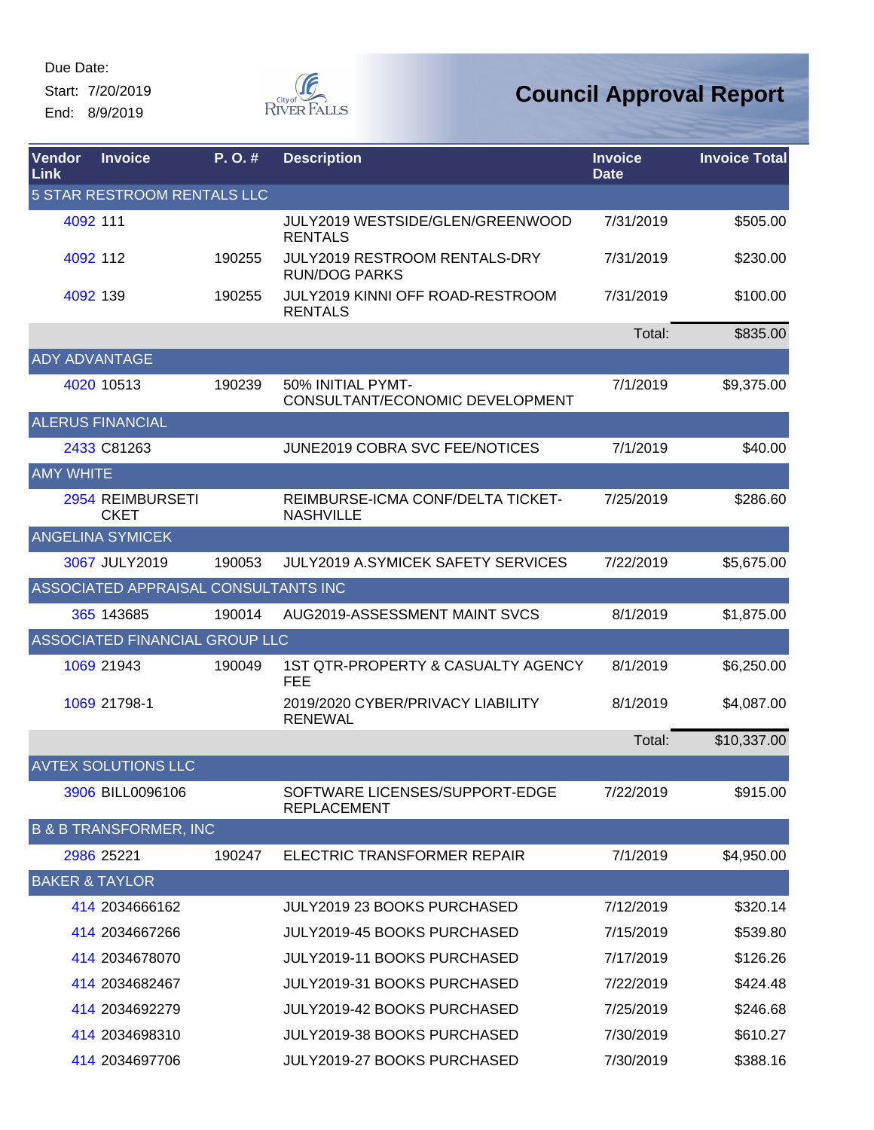Start: 7/20/2019 End: 8/9/2019



| Vendor<br>Link       | <b>Invoice</b>                       | P.O.#  | <b>Description</b>                                        | <b>Invoice</b><br><b>Date</b> | <b>Invoice Total</b> |
|----------------------|--------------------------------------|--------|-----------------------------------------------------------|-------------------------------|----------------------|
|                      | 5 STAR RESTROOM RENTALS LLC          |        |                                                           |                               |                      |
|                      | 4092 111                             |        | JULY2019 WESTSIDE/GLEN/GREENWOOD<br><b>RENTALS</b>        | 7/31/2019                     | \$505.00             |
|                      | 4092 112                             | 190255 | JULY2019 RESTROOM RENTALS-DRY<br><b>RUN/DOG PARKS</b>     | 7/31/2019                     | \$230.00             |
|                      | 4092 139                             | 190255 | <b>JULY2019 KINNI OFF ROAD-RESTROOM</b><br><b>RENTALS</b> | 7/31/2019                     | \$100.00             |
|                      |                                      |        |                                                           | Total:                        | \$835.00             |
| <b>ADY ADVANTAGE</b> |                                      |        |                                                           |                               |                      |
|                      | 4020 10513                           | 190239 | 50% INITIAL PYMT-<br>CONSULTANT/ECONOMIC DEVELOPMENT      | 7/1/2019                      | \$9,375.00           |
|                      | <b>ALERUS FINANCIAL</b>              |        |                                                           |                               |                      |
|                      | 2433 C81263                          |        | <b>JUNE2019 COBRA SVC FEE/NOTICES</b>                     | 7/1/2019                      | \$40.00              |
| <b>AMY WHITE</b>     |                                      |        |                                                           |                               |                      |
|                      | 2954 REIMBURSETI<br><b>CKET</b>      |        | REIMBURSE-ICMA CONF/DELTA TICKET-<br><b>NASHVILLE</b>     | 7/25/2019                     | \$286.60             |
|                      | <b>ANGELINA SYMICEK</b>              |        |                                                           |                               |                      |
|                      | 3067 JULY2019                        | 190053 | <b>JULY2019 A.SYMICEK SAFETY SERVICES</b>                 | 7/22/2019                     | \$5,675.00           |
|                      | ASSOCIATED APPRAISAL CONSULTANTS INC |        |                                                           |                               |                      |
|                      | 365 143685                           | 190014 | AUG2019-ASSESSMENT MAINT SVCS                             | 8/1/2019                      | \$1,875.00           |
|                      | ASSOCIATED FINANCIAL GROUP LLC       |        |                                                           |                               |                      |
|                      | 1069 21943                           | 190049 | 1ST QTR-PROPERTY & CASUALTY AGENCY<br><b>FEE</b>          | 8/1/2019                      | \$6,250.00           |
|                      | 1069 21798-1                         |        | 2019/2020 CYBER/PRIVACY LIABILITY<br><b>RENEWAL</b>       | 8/1/2019                      | \$4,087.00           |
|                      |                                      |        |                                                           | Total:                        | \$10,337.00          |
|                      | <b>AVTEX SOLUTIONS LLC</b>           |        |                                                           |                               |                      |
|                      | 3906 BILL0096106                     |        | SOFTWARE LICENSES/SUPPORT-EDGE<br><b>REPLACEMENT</b>      | 7/22/2019                     | \$915.00             |
|                      | <b>B &amp; B TRANSFORMER, INC</b>    |        |                                                           |                               |                      |
|                      | 2986 25221                           | 190247 | ELECTRIC TRANSFORMER REPAIR                               | 7/1/2019                      | \$4,950.00           |
|                      | <b>BAKER &amp; TAYLOR</b>            |        |                                                           |                               |                      |
|                      | 414 2034666162                       |        | <b>JULY2019 23 BOOKS PURCHASED</b>                        | 7/12/2019                     | \$320.14             |
|                      | 414 2034667266                       |        | JULY2019-45 BOOKS PURCHASED                               | 7/15/2019                     | \$539.80             |
|                      | 414 2034678070                       |        | <b>JULY2019-11 BOOKS PURCHASED</b>                        | 7/17/2019                     | \$126.26             |
|                      | 414 2034682467                       |        | JULY2019-31 BOOKS PURCHASED                               | 7/22/2019                     | \$424.48             |
|                      | 414 2034692279                       |        | JULY2019-42 BOOKS PURCHASED                               | 7/25/2019                     | \$246.68             |
|                      | 414 2034698310                       |        | JULY2019-38 BOOKS PURCHASED                               | 7/30/2019                     | \$610.27             |
|                      | 414 2034697706                       |        | JULY2019-27 BOOKS PURCHASED                               | 7/30/2019                     | \$388.16             |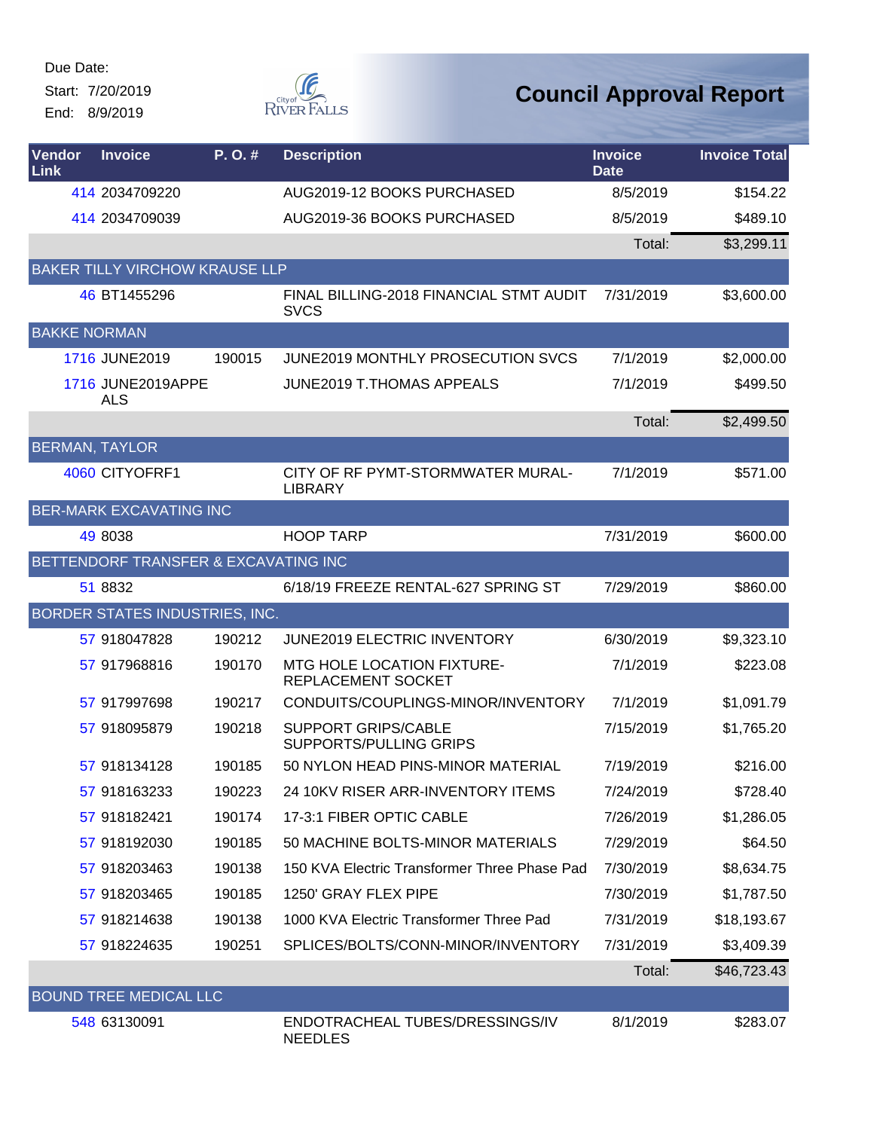Start: 7/20/2019

End: 8/9/2019



| Vendor<br><b>Link</b> | <b>Invoice</b>                        | P.O.#  | <b>Description</b>                                          | <b>Invoice</b><br><b>Date</b> | <b>Invoice Total</b> |
|-----------------------|---------------------------------------|--------|-------------------------------------------------------------|-------------------------------|----------------------|
|                       | 414 2034709220                        |        | AUG2019-12 BOOKS PURCHASED                                  | 8/5/2019                      | \$154.22             |
|                       | 414 2034709039                        |        | AUG2019-36 BOOKS PURCHASED                                  | 8/5/2019                      | \$489.10             |
|                       |                                       |        |                                                             | Total:                        | \$3,299.11           |
|                       | <b>BAKER TILLY VIRCHOW KRAUSE LLP</b> |        |                                                             |                               |                      |
|                       | 46 BT1455296                          |        | FINAL BILLING-2018 FINANCIAL STMT AUDIT<br><b>SVCS</b>      | 7/31/2019                     | \$3,600.00           |
| <b>BAKKE NORMAN</b>   |                                       |        |                                                             |                               |                      |
|                       | 1716 JUNE2019                         | 190015 | JUNE2019 MONTHLY PROSECUTION SVCS                           | 7/1/2019                      | \$2,000.00           |
|                       | 1716 JUNE2019APPE<br>ALS              |        | <b>JUNE2019 T.THOMAS APPEALS</b>                            | 7/1/2019                      | \$499.50             |
|                       |                                       |        |                                                             | Total:                        | \$2,499.50           |
| <b>BERMAN, TAYLOR</b> |                                       |        |                                                             |                               |                      |
|                       | 4060 CITYOFRF1                        |        | CITY OF RF PYMT-STORMWATER MURAL-<br><b>LIBRARY</b>         | 7/1/2019                      | \$571.00             |
|                       | <b>BER-MARK EXCAVATING INC</b>        |        |                                                             |                               |                      |
|                       | 49 8038                               |        | <b>HOOP TARP</b>                                            | 7/31/2019                     | \$600.00             |
|                       | BETTENDORF TRANSFER & EXCAVATING INC  |        |                                                             |                               |                      |
|                       | 51 8832                               |        | 6/18/19 FREEZE RENTAL-627 SPRING ST                         | 7/29/2019                     | \$860.00             |
|                       | BORDER STATES INDUSTRIES, INC.        |        |                                                             |                               |                      |
|                       | 57 918047828                          | 190212 | JUNE2019 ELECTRIC INVENTORY                                 | 6/30/2019                     | \$9,323.10           |
|                       | 57 917968816                          | 190170 | <b>MTG HOLE LOCATION FIXTURE-</b><br>REPLACEMENT SOCKET     | 7/1/2019                      | \$223.08             |
|                       | 57 917997698                          | 190217 | CONDUITS/COUPLINGS-MINOR/INVENTORY                          | 7/1/2019                      | \$1,091.79           |
|                       | 57 918095879                          | 190218 | <b>SUPPORT GRIPS/CABLE</b><br><b>SUPPORTS/PULLING GRIPS</b> | 7/15/2019                     | \$1,765.20           |
|                       | 57 918134128                          | 190185 | 50 NYLON HEAD PINS-MINOR MATERIAL                           | 7/19/2019                     | \$216.00             |
|                       | 57 918163233                          | 190223 | 24 10KV RISER ARR-INVENTORY ITEMS                           | 7/24/2019                     | \$728.40             |
|                       | 57 918182421                          | 190174 | 17-3:1 FIBER OPTIC CABLE                                    | 7/26/2019                     | \$1,286.05           |
|                       | 57 918192030                          | 190185 | 50 MACHINE BOLTS-MINOR MATERIALS                            | 7/29/2019                     | \$64.50              |
|                       | 57 918203463                          | 190138 | 150 KVA Electric Transformer Three Phase Pad                | 7/30/2019                     | \$8,634.75           |
|                       | 57 918203465                          | 190185 | 1250' GRAY FLEX PIPE                                        | 7/30/2019                     | \$1,787.50           |
|                       | 57 918214638                          | 190138 | 1000 KVA Electric Transformer Three Pad                     | 7/31/2019                     | \$18,193.67          |
|                       | 57 918224635                          | 190251 | SPLICES/BOLTS/CONN-MINOR/INVENTORY                          | 7/31/2019                     | \$3,409.39           |
|                       |                                       |        |                                                             | Total:                        | \$46,723.43          |
|                       | <b>BOUND TREE MEDICAL LLC</b>         |        |                                                             |                               |                      |
|                       | 548 63130091                          |        | ENDOTRACHEAL TUBES/DRESSINGS/IV<br><b>NEEDLES</b>           | 8/1/2019                      | \$283.07             |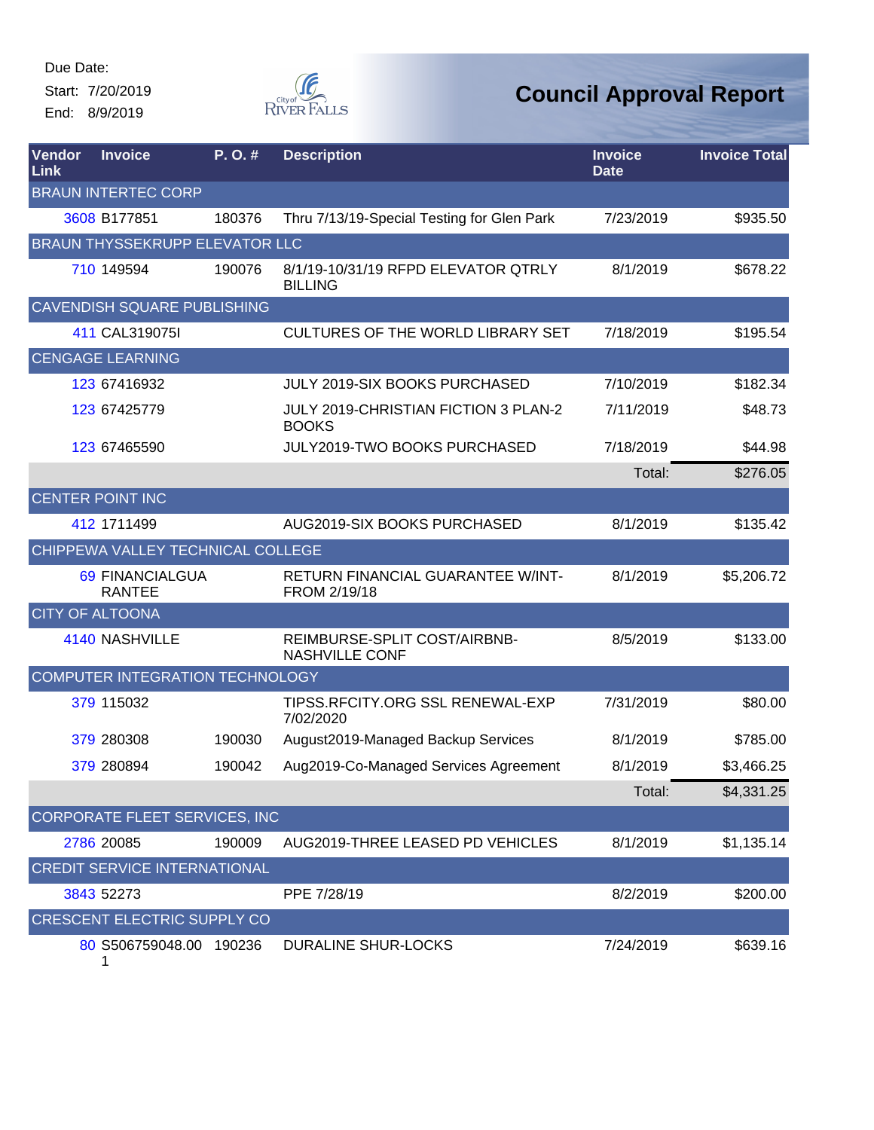Start: 7/20/2019 End: 8/9/2019



| <b>Vendor</b><br>Link | <b>Invoice</b>                        | P.O.#  | <b>Description</b>                                          | <b>Invoice</b><br><b>Date</b> | <b>Invoice Total</b> |
|-----------------------|---------------------------------------|--------|-------------------------------------------------------------|-------------------------------|----------------------|
|                       | <b>BRAUN INTERTEC CORP</b>            |        |                                                             |                               |                      |
|                       | 3608 B177851                          | 180376 | Thru 7/13/19-Special Testing for Glen Park                  | 7/23/2019                     | \$935.50             |
|                       | <b>BRAUN THYSSEKRUPP ELEVATOR LLC</b> |        |                                                             |                               |                      |
|                       | 710 149594                            | 190076 | 8/1/19-10/31/19 RFPD ELEVATOR QTRLY<br><b>BILLING</b>       | 8/1/2019                      | \$678.22             |
|                       | <b>CAVENDISH SQUARE PUBLISHING</b>    |        |                                                             |                               |                      |
|                       | 411 CAL319075I                        |        | <b>CULTURES OF THE WORLD LIBRARY SET</b>                    | 7/18/2019                     | \$195.54             |
|                       | <b>CENGAGE LEARNING</b>               |        |                                                             |                               |                      |
|                       | 123 67416932                          |        | JULY 2019-SIX BOOKS PURCHASED                               | 7/10/2019                     | \$182.34             |
|                       | 123 67425779                          |        | <b>JULY 2019-CHRISTIAN FICTION 3 PLAN-2</b><br><b>BOOKS</b> | 7/11/2019                     | \$48.73              |
|                       | 123 67465590                          |        | JULY2019-TWO BOOKS PURCHASED                                | 7/18/2019                     | \$44.98              |
|                       |                                       |        |                                                             | Total:                        | \$276.05             |
|                       | <b>CENTER POINT INC</b>               |        |                                                             |                               |                      |
|                       | 412 1711499                           |        | AUG2019-SIX BOOKS PURCHASED                                 | 8/1/2019                      | \$135.42             |
|                       | CHIPPEWA VALLEY TECHNICAL COLLEGE     |        |                                                             |                               |                      |
|                       | 69 FINANCIALGUA<br><b>RANTEE</b>      |        | RETURN FINANCIAL GUARANTEE W/INT-<br>FROM 2/19/18           | 8/1/2019                      | \$5,206.72           |
|                       | <b>CITY OF ALTOONA</b>                |        |                                                             |                               |                      |
|                       | 4140 NASHVILLE                        |        | REIMBURSE-SPLIT COST/AIRBNB-<br><b>NASHVILLE CONF</b>       | 8/5/2019                      | \$133.00             |
|                       | COMPUTER INTEGRATION TECHNOLOGY       |        |                                                             |                               |                      |
|                       | 379 115032                            |        | TIPSS.RFCITY.ORG SSL RENEWAL-EXP<br>7/02/2020               | 7/31/2019                     | \$80.00              |
|                       | 379 280308                            | 190030 | August2019-Managed Backup Services                          | 8/1/2019                      | \$785.00             |
|                       | 379 280894                            | 190042 | Aug2019-Co-Managed Services Agreement                       | 8/1/2019                      | \$3,466.25           |
|                       |                                       |        |                                                             | Total:                        | \$4,331.25           |
|                       | CORPORATE FLEET SERVICES, INC         |        |                                                             |                               |                      |
|                       | 2786 20085                            | 190009 | AUG2019-THREE LEASED PD VEHICLES                            | 8/1/2019                      | \$1,135.14           |
|                       | <b>CREDIT SERVICE INTERNATIONAL</b>   |        |                                                             |                               |                      |
|                       | 3843 52273                            |        | PPE 7/28/19                                                 | 8/2/2019                      | \$200.00             |
|                       | <b>CRESCENT ELECTRIC SUPPLY CO</b>    |        |                                                             |                               |                      |
|                       | 80 S506759048.00 190236<br>1          |        | <b>DURALINE SHUR-LOCKS</b>                                  | 7/24/2019                     | \$639.16             |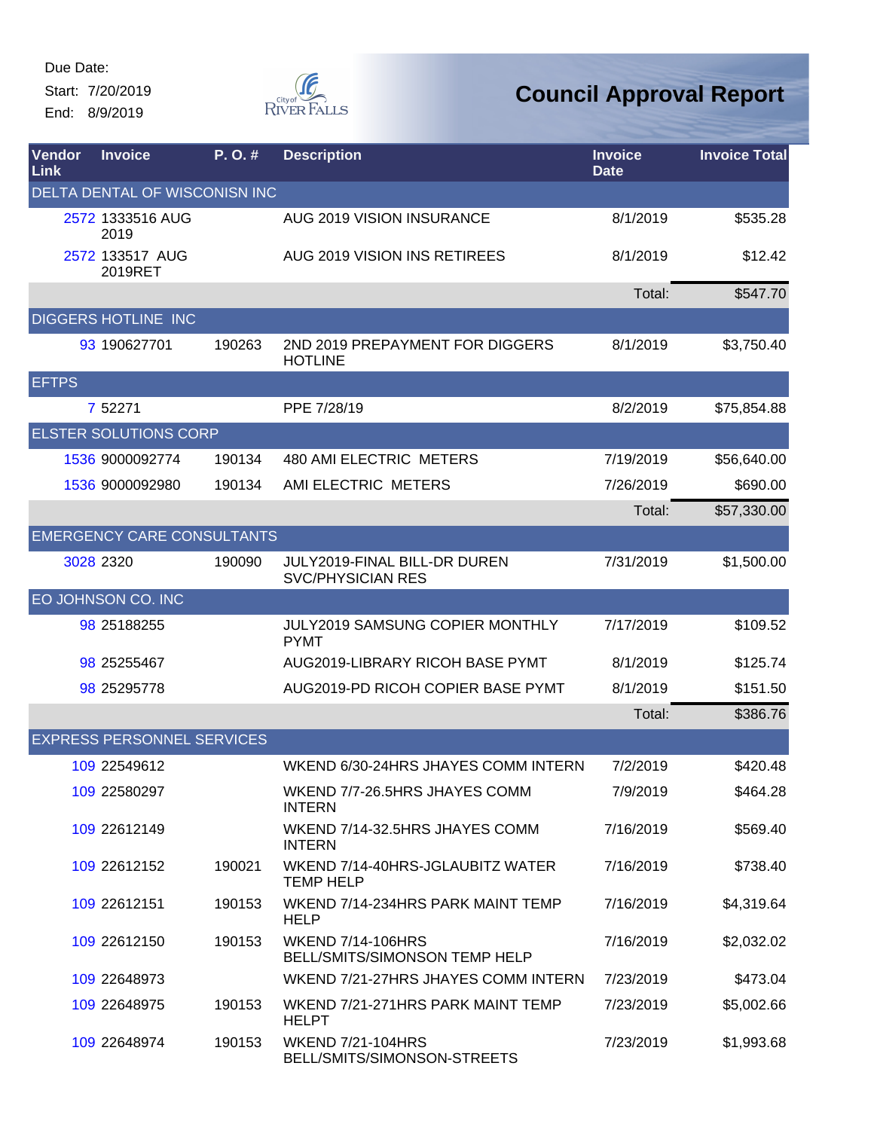Start: 7/20/2019 End: 8/9/2019



| <b>Vendor</b><br>Link | <b>Invoice</b>                    | P.O.#  | <b>Description</b>                                        | <b>Invoice</b><br><b>Date</b> | <b>Invoice Total</b> |
|-----------------------|-----------------------------------|--------|-----------------------------------------------------------|-------------------------------|----------------------|
|                       | DELTA DENTAL OF WISCONISN INC     |        |                                                           |                               |                      |
|                       | 2572 1333516 AUG<br>2019          |        | AUG 2019 VISION INSURANCE                                 | 8/1/2019                      | \$535.28             |
|                       | 2572 133517 AUG<br>2019RET        |        | AUG 2019 VISION INS RETIREES                              | 8/1/2019                      | \$12.42              |
|                       |                                   |        |                                                           | Total:                        | \$547.70             |
|                       | DIGGERS HOTLINE INC               |        |                                                           |                               |                      |
|                       | 93 190627701                      | 190263 | 2ND 2019 PREPAYMENT FOR DIGGERS<br><b>HOTLINE</b>         | 8/1/2019                      | \$3,750.40           |
| <b>EFTPS</b>          |                                   |        |                                                           |                               |                      |
|                       | 7 52271                           |        | PPE 7/28/19                                               | 8/2/2019                      | \$75,854.88          |
|                       | <b>ELSTER SOLUTIONS CORP</b>      |        |                                                           |                               |                      |
|                       | 1536 9000092774                   | 190134 | 480 AMI ELECTRIC METERS                                   | 7/19/2019                     | \$56,640.00          |
|                       | 1536 9000092980                   | 190134 | AMI ELECTRIC METERS                                       | 7/26/2019                     | \$690.00             |
|                       |                                   |        |                                                           | Total:                        | \$57,330.00          |
|                       | <b>EMERGENCY CARE CONSULTANTS</b> |        |                                                           |                               |                      |
|                       | 3028 2320                         | 190090 | JULY2019-FINAL BILL-DR DUREN<br><b>SVC/PHYSICIAN RES</b>  | 7/31/2019                     | \$1,500.00           |
|                       | EO JOHNSON CO. INC                |        |                                                           |                               |                      |
|                       | 98 25188255                       |        | JULY2019 SAMSUNG COPIER MONTHLY<br><b>PYMT</b>            | 7/17/2019                     | \$109.52             |
|                       | 98 25255467                       |        | AUG2019-LIBRARY RICOH BASE PYMT                           | 8/1/2019                      | \$125.74             |
|                       | 98 25295778                       |        | AUG2019-PD RICOH COPIER BASE PYMT                         | 8/1/2019                      | \$151.50             |
|                       |                                   |        |                                                           | Total:                        | \$386.76             |
|                       | <b>EXPRESS PERSONNEL SERVICES</b> |        |                                                           |                               |                      |
|                       | 109 22549612                      |        | WKEND 6/30-24HRS JHAYES COMM INTERN                       | 7/2/2019                      | \$420.48             |
|                       | 109 22580297                      |        | WKEND 7/7-26.5HRS JHAYES COMM<br><b>INTERN</b>            | 7/9/2019                      | \$464.28             |
|                       | 109 22612149                      |        | WKEND 7/14-32.5HRS JHAYES COMM<br><b>INTERN</b>           | 7/16/2019                     | \$569.40             |
|                       | 109 22612152                      | 190021 | WKEND 7/14-40HRS-JGLAUBITZ WATER<br><b>TEMP HELP</b>      | 7/16/2019                     | \$738.40             |
|                       | 109 22612151                      | 190153 | WKEND 7/14-234HRS PARK MAINT TEMP<br><b>HELP</b>          | 7/16/2019                     | \$4,319.64           |
|                       | 109 22612150                      | 190153 | <b>WKEND 7/14-106HRS</b><br>BELL/SMITS/SIMONSON TEMP HELP | 7/16/2019                     | \$2,032.02           |
|                       | 109 22648973                      |        | WKEND 7/21-27HRS JHAYES COMM INTERN                       | 7/23/2019                     | \$473.04             |
|                       | 109 22648975                      | 190153 | WKEND 7/21-271HRS PARK MAINT TEMP<br><b>HELPT</b>         | 7/23/2019                     | \$5,002.66           |
|                       | 109 22648974                      | 190153 | <b>WKEND 7/21-104HRS</b><br>BELL/SMITS/SIMONSON-STREETS   | 7/23/2019                     | \$1,993.68           |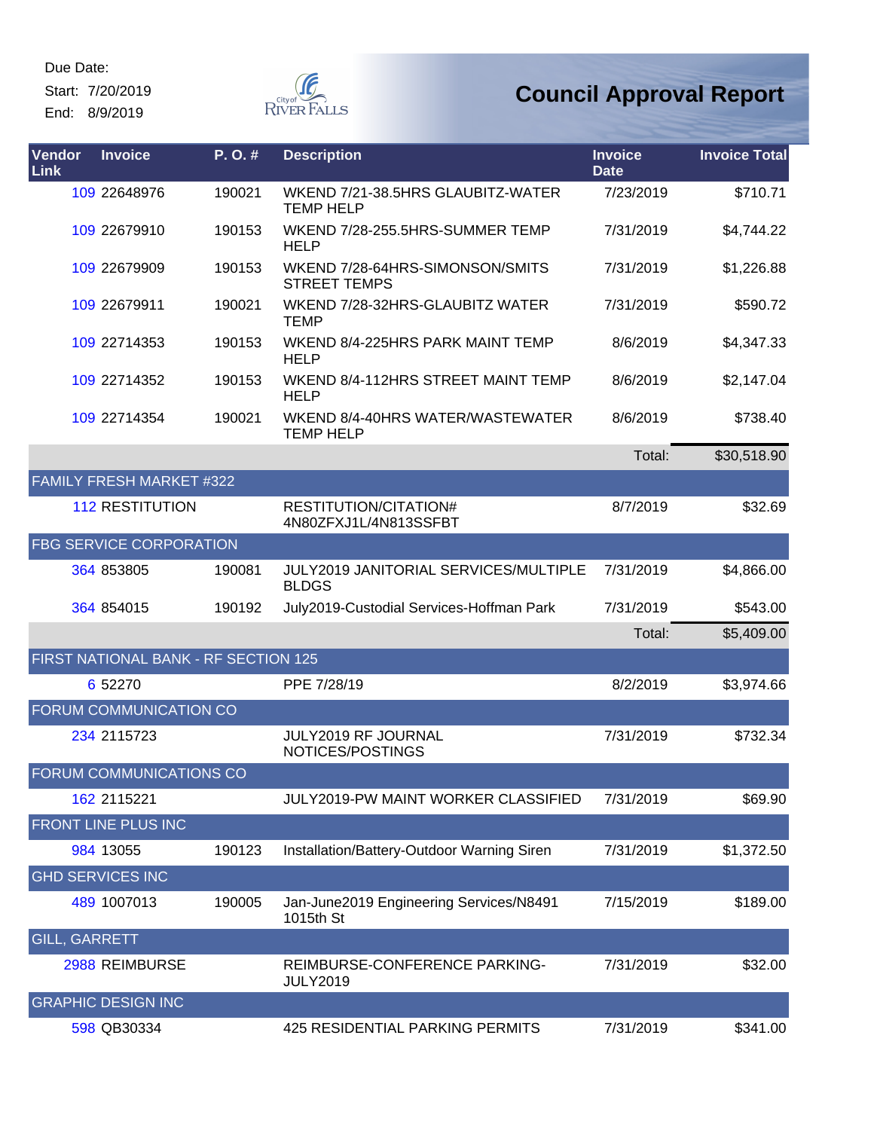Start: 7/20/2019

End: 8/9/2019



| Vendor<br>Link       | <b>Invoice</b>                  | P.O.#                                | <b>Description</b>                                     | <b>Invoice</b><br><b>Date</b> | <b>Invoice Total</b> |
|----------------------|---------------------------------|--------------------------------------|--------------------------------------------------------|-------------------------------|----------------------|
|                      | 109 22648976                    | 190021                               | WKEND 7/21-38.5HRS GLAUBITZ-WATER<br><b>TEMP HELP</b>  | 7/23/2019                     | \$710.71             |
|                      | 109 22679910                    | 190153                               | WKEND 7/28-255.5HRS-SUMMER TEMP<br><b>HELP</b>         | 7/31/2019                     | \$4,744.22           |
|                      | 109 22679909                    | 190153                               | WKEND 7/28-64HRS-SIMONSON/SMITS<br><b>STREET TEMPS</b> | 7/31/2019                     | \$1,226.88           |
|                      | 109 22679911                    | 190021                               | WKEND 7/28-32HRS-GLAUBITZ WATER<br><b>TEMP</b>         | 7/31/2019                     | \$590.72             |
|                      | 109 22714353                    | 190153                               | WKEND 8/4-225HRS PARK MAINT TEMP<br><b>HELP</b>        | 8/6/2019                      | \$4,347.33           |
|                      | 109 22714352                    | 190153                               | WKEND 8/4-112HRS STREET MAINT TEMP<br><b>HELP</b>      | 8/6/2019                      | \$2,147.04           |
|                      | 109 22714354                    | 190021                               | WKEND 8/4-40HRS WATER/WASTEWATER<br><b>TEMP HELP</b>   | 8/6/2019                      | \$738.40             |
|                      |                                 |                                      |                                                        | Total:                        | \$30,518.90          |
|                      | <b>FAMILY FRESH MARKET #322</b> |                                      |                                                        |                               |                      |
|                      | <b>112 RESTITUTION</b>          |                                      | RESTITUTION/CITATION#<br>4N80ZFXJ1L/4N813SSFBT         | 8/7/2019                      | \$32.69              |
|                      | FBG SERVICE CORPORATION         |                                      |                                                        |                               |                      |
|                      | 364 853805                      | 190081                               | JULY2019 JANITORIAL SERVICES/MULTIPLE<br><b>BLDGS</b>  | 7/31/2019                     | \$4,866.00           |
|                      | 364 854015                      | 190192                               | July2019-Custodial Services-Hoffman Park               | 7/31/2019                     | \$543.00             |
|                      |                                 |                                      |                                                        | Total:                        | \$5,409.00           |
|                      |                                 | FIRST NATIONAL BANK - RF SECTION 125 |                                                        |                               |                      |
|                      | 6 52270                         |                                      | PPE 7/28/19                                            | 8/2/2019                      | \$3,974.66           |
|                      | FORUM COMMUNICATION CO          |                                      |                                                        |                               |                      |
|                      | 234 2115723                     |                                      | JULY2019 RF JOURNAL<br>NOTICES/POSTINGS                | 7/31/2019                     | \$732.34             |
|                      | FORUM COMMUNICATIONS CO         |                                      |                                                        |                               |                      |
|                      | 162 2115221                     |                                      | JULY2019-PW MAINT WORKER CLASSIFIED                    | 7/31/2019                     | \$69.90              |
|                      | FRONT LINE PLUS INC             |                                      |                                                        |                               |                      |
|                      | 984 13055                       | 190123                               | Installation/Battery-Outdoor Warning Siren             | 7/31/2019                     | \$1,372.50           |
|                      | <b>GHD SERVICES INC</b>         |                                      |                                                        |                               |                      |
|                      | 489 1007013                     | 190005                               | Jan-June2019 Engineering Services/N8491<br>1015th St   | 7/15/2019                     | \$189.00             |
| <b>GILL, GARRETT</b> |                                 |                                      |                                                        |                               |                      |
|                      | 2988 REIMBURSE                  |                                      | REIMBURSE-CONFERENCE PARKING-<br><b>JULY2019</b>       | 7/31/2019                     | \$32.00              |
|                      | <b>GRAPHIC DESIGN INC</b>       |                                      |                                                        |                               |                      |
|                      | 598 QB30334                     |                                      | 425 RESIDENTIAL PARKING PERMITS                        | 7/31/2019                     | \$341.00             |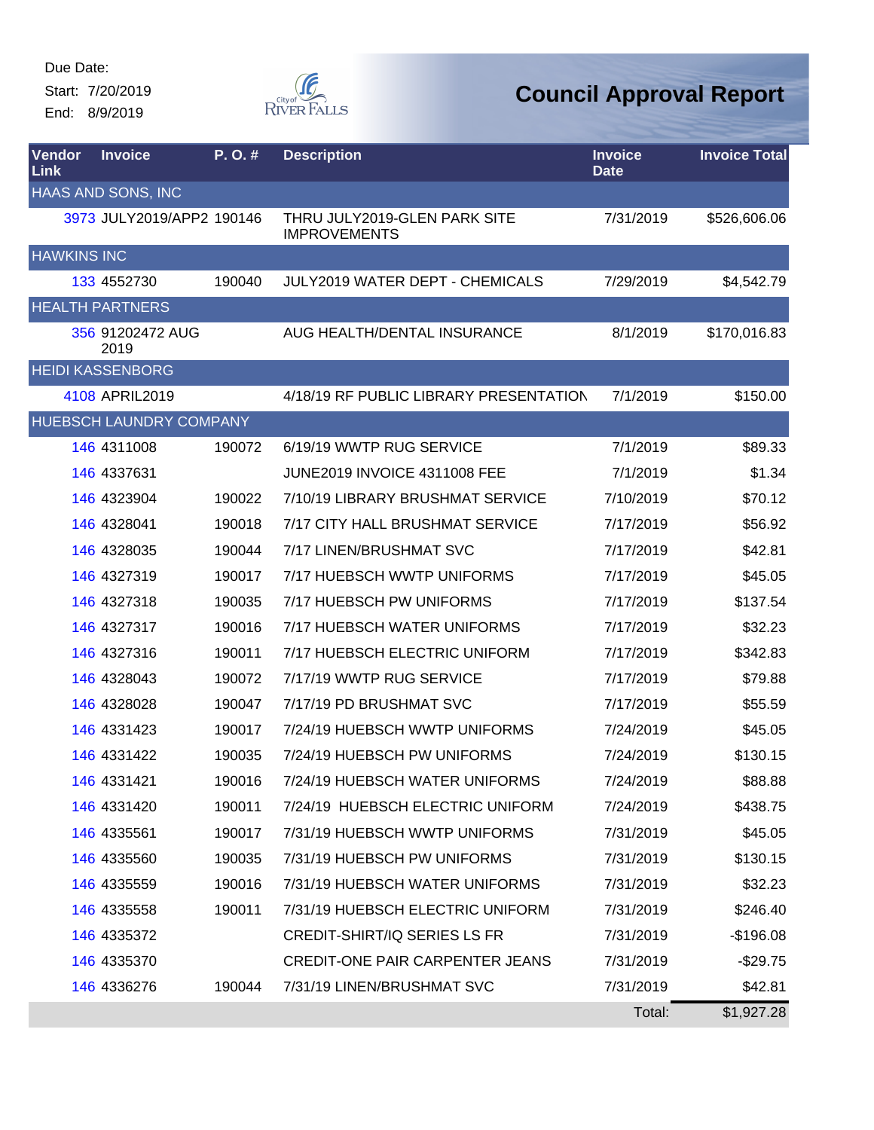Start: 7/20/2019 End: 8/9/2019



| <b>Vendor</b><br><b>Link</b> | <b>Invoice</b>            | P. O. # | <b>Description</b>                                  | <b>Invoice</b><br><b>Date</b> | <b>Invoice Total</b> |
|------------------------------|---------------------------|---------|-----------------------------------------------------|-------------------------------|----------------------|
|                              | HAAS AND SONS, INC        |         |                                                     |                               |                      |
|                              | 3973 JULY2019/APP2 190146 |         | THRU JULY2019-GLEN PARK SITE<br><b>IMPROVEMENTS</b> | 7/31/2019                     | \$526,606.06         |
| <b>HAWKINS INC</b>           |                           |         |                                                     |                               |                      |
|                              | 133 4552730               | 190040  | JULY2019 WATER DEPT - CHEMICALS                     | 7/29/2019                     | \$4,542.79           |
|                              | <b>HEALTH PARTNERS</b>    |         |                                                     |                               |                      |
|                              | 356 91202472 AUG<br>2019  |         | AUG HEALTH/DENTAL INSURANCE                         | 8/1/2019                      | \$170,016.83         |
|                              | <b>HEIDI KASSENBORG</b>   |         |                                                     |                               |                      |
|                              | 4108 APRIL2019            |         | 4/18/19 RF PUBLIC LIBRARY PRESENTATION              | 7/1/2019                      | \$150.00             |
|                              | HUEBSCH LAUNDRY COMPANY   |         |                                                     |                               |                      |
|                              | 146 4311008               | 190072  | 6/19/19 WWTP RUG SERVICE                            | 7/1/2019                      | \$89.33              |
|                              | 146 4337631               |         | JUNE2019 INVOICE 4311008 FEE                        | 7/1/2019                      | \$1.34               |
|                              | 146 4323904               | 190022  | 7/10/19 LIBRARY BRUSHMAT SERVICE                    | 7/10/2019                     | \$70.12              |
|                              | 146 4328041               | 190018  | 7/17 CITY HALL BRUSHMAT SERVICE                     | 7/17/2019                     | \$56.92              |
|                              | 146 4328035               | 190044  | 7/17 LINEN/BRUSHMAT SVC                             | 7/17/2019                     | \$42.81              |
|                              | 146 4327319               | 190017  | 7/17 HUEBSCH WWTP UNIFORMS                          | 7/17/2019                     | \$45.05              |
|                              | 146 4327318               | 190035  | 7/17 HUEBSCH PW UNIFORMS                            | 7/17/2019                     | \$137.54             |
|                              | 146 4327317               | 190016  | 7/17 HUEBSCH WATER UNIFORMS                         | 7/17/2019                     | \$32.23              |
|                              | 146 4327316               | 190011  | 7/17 HUEBSCH ELECTRIC UNIFORM                       | 7/17/2019                     | \$342.83             |
|                              | 146 4328043               | 190072  | 7/17/19 WWTP RUG SERVICE                            | 7/17/2019                     | \$79.88              |
|                              | 146 4328028               | 190047  | 7/17/19 PD BRUSHMAT SVC                             | 7/17/2019                     | \$55.59              |
|                              | 146 4331423               | 190017  | 7/24/19 HUEBSCH WWTP UNIFORMS                       | 7/24/2019                     | \$45.05              |
|                              | 146 4331422               | 190035  | 7/24/19 HUEBSCH PW UNIFORMS                         | 7/24/2019                     | \$130.15             |
|                              | 146 4331421               | 190016  | 7/24/19 HUEBSCH WATER UNIFORMS                      | 7/24/2019                     | \$88.88              |
|                              | 146 4331420               | 190011  | 7/24/19 HUEBSCH ELECTRIC UNIFORM                    | 7/24/2019                     | \$438.75             |
|                              | 146 4335561               | 190017  | 7/31/19 HUEBSCH WWTP UNIFORMS                       | 7/31/2019                     | \$45.05              |
|                              | 146 4335560               | 190035  | 7/31/19 HUEBSCH PW UNIFORMS                         | 7/31/2019                     | \$130.15             |
|                              | 146 4335559               | 190016  | 7/31/19 HUEBSCH WATER UNIFORMS                      | 7/31/2019                     | \$32.23              |
|                              | 146 4335558               | 190011  | 7/31/19 HUEBSCH ELECTRIC UNIFORM                    | 7/31/2019                     | \$246.40             |
|                              | 146 4335372               |         | <b>CREDIT-SHIRT/IQ SERIES LS FR</b>                 | 7/31/2019                     | $-$196.08$           |
|                              | 146 4335370               |         | <b>CREDIT-ONE PAIR CARPENTER JEANS</b>              | 7/31/2019                     | $-$ \$29.75          |
|                              | 146 4336276               | 190044  | 7/31/19 LINEN/BRUSHMAT SVC                          | 7/31/2019                     | \$42.81              |
|                              |                           |         |                                                     | Total:                        | \$1,927.28           |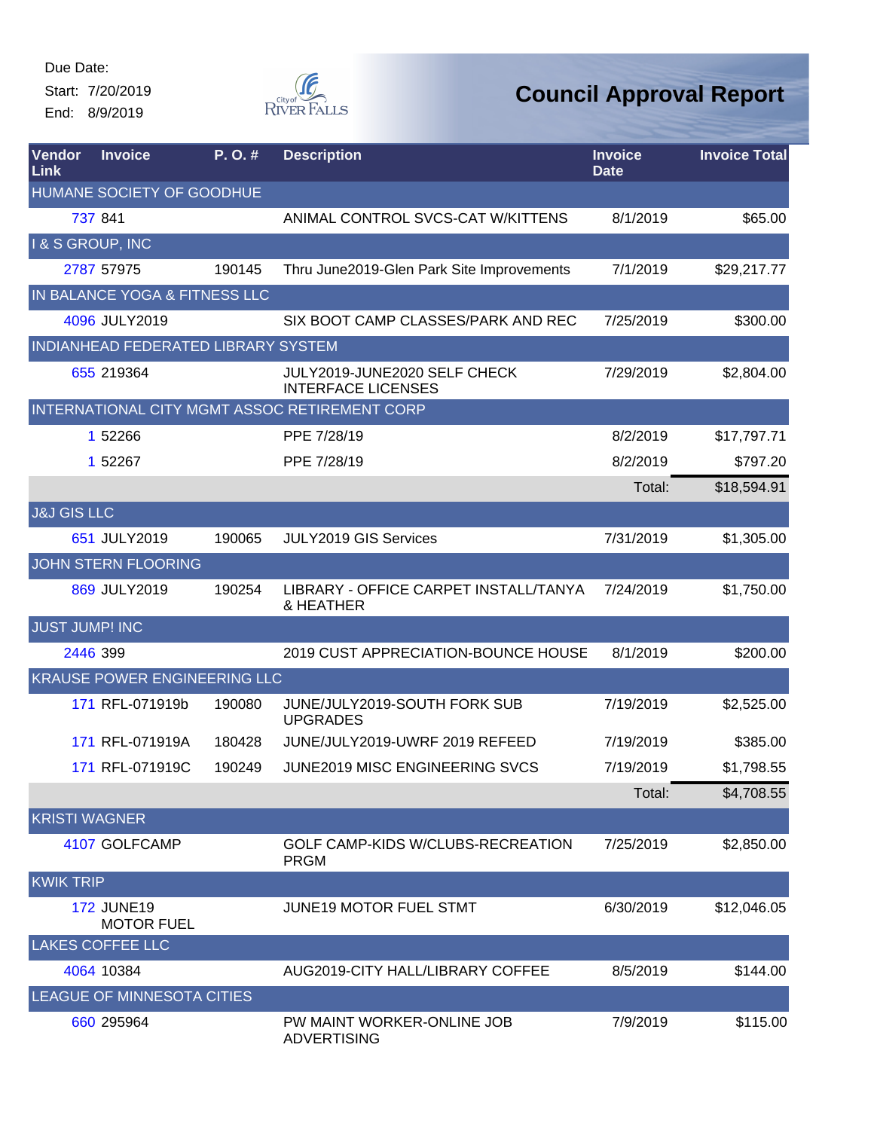Start: 7/20/2019 End: 8/9/2019



| Vendor<br>Link         | <b>Invoice</b>                         | $P. O.$ # | <b>Description</b>                                        | <b>Invoice</b><br><b>Date</b> | <b>Invoice Total</b> |
|------------------------|----------------------------------------|-----------|-----------------------------------------------------------|-------------------------------|----------------------|
|                        | HUMANE SOCIETY OF GOODHUE              |           |                                                           |                               |                      |
|                        | 737 841                                |           | ANIMAL CONTROL SVCS-CAT W/KITTENS                         | 8/1/2019                      | \$65.00              |
| I & S GROUP, INC       |                                        |           |                                                           |                               |                      |
|                        | 2787 57975                             | 190145    | Thru June2019-Glen Park Site Improvements                 | 7/1/2019                      | \$29,217.77          |
|                        | IN BALANCE YOGA & FITNESS LLC          |           |                                                           |                               |                      |
|                        | 4096 JULY2019                          |           | SIX BOOT CAMP CLASSES/PARK AND REC                        | 7/25/2019                     | \$300.00             |
|                        | INDIANHEAD FEDERATED LIBRARY SYSTEM    |           |                                                           |                               |                      |
|                        | 655 219364                             |           | JULY2019-JUNE2020 SELF CHECK<br><b>INTERFACE LICENSES</b> | 7/29/2019                     | \$2,804.00           |
|                        |                                        |           | INTERNATIONAL CITY MGMT ASSOC RETIREMENT CORP             |                               |                      |
|                        | 1 52266                                |           | PPE 7/28/19                                               | 8/2/2019                      | \$17,797.71          |
|                        | 1 52267                                |           | PPE 7/28/19                                               | 8/2/2019                      | \$797.20             |
|                        |                                        |           |                                                           | Total:                        | \$18,594.91          |
| <b>J&amp;J GIS LLC</b> |                                        |           |                                                           |                               |                      |
|                        | 651 JULY2019                           | 190065    | <b>JULY2019 GIS Services</b>                              | 7/31/2019                     | \$1,305.00           |
|                        | <b>JOHN STERN FLOORING</b>             |           |                                                           |                               |                      |
|                        | 869 JULY2019                           | 190254    | LIBRARY - OFFICE CARPET INSTALL/TANYA<br>& HEATHER        | 7/24/2019                     | \$1,750.00           |
| <b>JUST JUMP! INC</b>  |                                        |           |                                                           |                               |                      |
|                        | 2446 399                               |           | 2019 CUST APPRECIATION-BOUNCE HOUSE                       | 8/1/2019                      | \$200.00             |
|                        | KRAUSE POWER ENGINEERING LLC           |           |                                                           |                               |                      |
|                        | 171 RFL-071919b                        | 190080    | JUNE/JULY2019-SOUTH FORK SUB<br><b>UPGRADES</b>           | 7/19/2019                     | \$2,525.00           |
|                        | 171 RFL-071919A                        | 180428    | JUNE/JULY2019-UWRF 2019 REFEED                            | 7/19/2019                     | \$385.00             |
|                        | 171 RFL-071919C                        | 190249    | JUNE2019 MISC ENGINEERING SVCS                            | 7/19/2019                     | \$1,798.55           |
|                        |                                        |           |                                                           | Total:                        | \$4,708.55           |
| <b>KRISTI WAGNER</b>   |                                        |           |                                                           |                               |                      |
|                        | 4107 GOLFCAMP                          |           | GOLF CAMP-KIDS W/CLUBS-RECREATION<br><b>PRGM</b>          | 7/25/2019                     | \$2,850.00           |
| <b>KWIK TRIP</b>       |                                        |           |                                                           |                               |                      |
|                        | <b>172 JUNE19</b><br><b>MOTOR FUEL</b> |           | <b>JUNE19 MOTOR FUEL STMT</b>                             | 6/30/2019                     | \$12,046.05          |
|                        | <b>LAKES COFFEE LLC</b>                |           |                                                           |                               |                      |
|                        | 4064 10384                             |           | AUG2019-CITY HALL/LIBRARY COFFEE                          | 8/5/2019                      | \$144.00             |
|                        | LEAGUE OF MINNESOTA CITIES             |           |                                                           |                               |                      |
|                        | 660 295964                             |           | PW MAINT WORKER-ONLINE JOB<br><b>ADVERTISING</b>          | 7/9/2019                      | \$115.00             |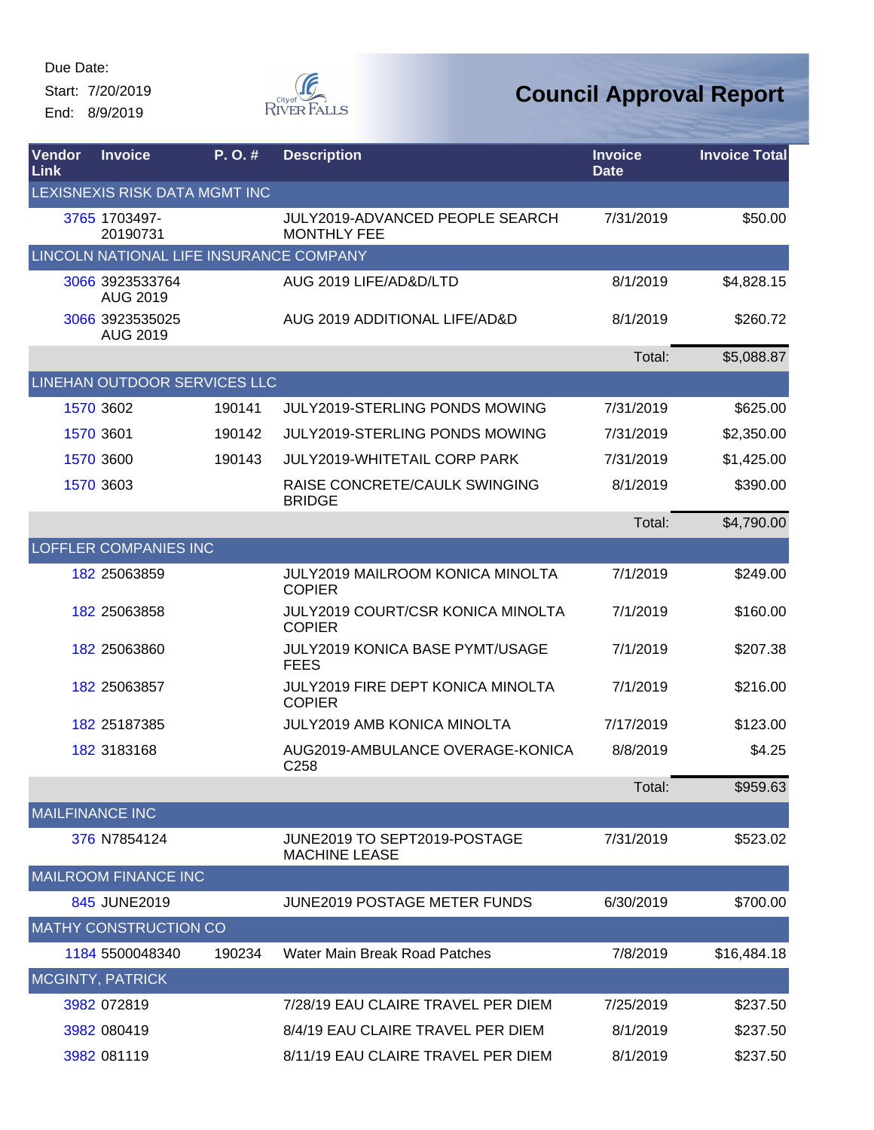Start: 7/20/2019 End: 8/9/2019



| Vendor<br>Link         | <b>Invoice</b>                          | P.O.#  | <b>Description</b>                                           | <b>Invoice</b><br><b>Date</b> | <b>Invoice Total</b> |
|------------------------|-----------------------------------------|--------|--------------------------------------------------------------|-------------------------------|----------------------|
|                        | LEXISNEXIS RISK DATA MGMT INC           |        |                                                              |                               |                      |
|                        | 3765 1703497-<br>20190731               |        | <b>JULY2019-ADVANCED PEOPLE SEARCH</b><br><b>MONTHLY FEE</b> | 7/31/2019                     | \$50.00              |
|                        | LINCOLN NATIONAL LIFE INSURANCE COMPANY |        |                                                              |                               |                      |
|                        | 3066 3923533764<br><b>AUG 2019</b>      |        | AUG 2019 LIFE/AD&D/LTD                                       | 8/1/2019                      | \$4,828.15           |
|                        | 3066 3923535025<br><b>AUG 2019</b>      |        | AUG 2019 ADDITIONAL LIFE/AD&D                                | 8/1/2019                      | \$260.72             |
|                        |                                         |        |                                                              | Total:                        | \$5,088.87           |
|                        | LINEHAN OUTDOOR SERVICES LLC            |        |                                                              |                               |                      |
|                        | 1570 3602                               | 190141 | <b>JULY2019-STERLING PONDS MOWING</b>                        | 7/31/2019                     | \$625.00             |
|                        | 1570 3601                               | 190142 | <b>JULY2019-STERLING PONDS MOWING</b>                        | 7/31/2019                     | \$2,350.00           |
|                        | 1570 3600                               | 190143 | <b>JULY2019-WHITETAIL CORP PARK</b>                          | 7/31/2019                     | \$1,425.00           |
|                        | 1570 3603                               |        | RAISE CONCRETE/CAULK SWINGING<br><b>BRIDGE</b>               | 8/1/2019                      | \$390.00             |
|                        |                                         |        |                                                              | Total:                        | \$4,790.00           |
|                        | <b>LOFFLER COMPANIES INC</b>            |        |                                                              |                               |                      |
|                        | 182 25063859                            |        | <b>JULY2019 MAILROOM KONICA MINOLTA</b><br><b>COPIER</b>     | 7/1/2019                      | \$249.00             |
|                        | 182 25063858                            |        | <b>JULY2019 COURT/CSR KONICA MINOLTA</b><br><b>COPIER</b>    | 7/1/2019                      | \$160.00             |
|                        | 182 25063860                            |        | JULY2019 KONICA BASE PYMT/USAGE<br><b>FEES</b>               | 7/1/2019                      | \$207.38             |
|                        | 182 25063857                            |        | <b>JULY2019 FIRE DEPT KONICA MINOLTA</b><br><b>COPIER</b>    | 7/1/2019                      | \$216.00             |
|                        | 182 25187385                            |        | <b>JULY2019 AMB KONICA MINOLTA</b>                           | 7/17/2019                     | \$123.00             |
|                        | 182 3183168                             |        | AUG2019-AMBULANCE OVERAGE-KONICA<br>C258                     | 8/8/2019                      | \$4.25               |
|                        |                                         |        |                                                              | Total:                        | \$959.63             |
| <b>MAILFINANCE INC</b> |                                         |        |                                                              |                               |                      |
|                        | 376 N7854124                            |        | JUNE2019 TO SEPT2019-POSTAGE<br><b>MACHINE LEASE</b>         | 7/31/2019                     | \$523.02             |
|                        | <b>MAILROOM FINANCE INC</b>             |        |                                                              |                               |                      |
|                        | 845 JUNE2019                            |        | <b>JUNE2019 POSTAGE METER FUNDS</b>                          | 6/30/2019                     | \$700.00             |
|                        | <b>MATHY CONSTRUCTION CO</b>            |        |                                                              |                               |                      |
|                        | 1184 5500048340                         | 190234 | Water Main Break Road Patches                                | 7/8/2019                      | \$16,484.18          |
|                        | <b>MCGINTY, PATRICK</b>                 |        |                                                              |                               |                      |
|                        | 3982 072819                             |        | 7/28/19 EAU CLAIRE TRAVEL PER DIEM                           | 7/25/2019                     | \$237.50             |
|                        | 3982 080419                             |        | 8/4/19 EAU CLAIRE TRAVEL PER DIEM                            | 8/1/2019                      | \$237.50             |
|                        | 3982 081119                             |        | 8/11/19 EAU CLAIRE TRAVEL PER DIEM                           | 8/1/2019                      | \$237.50             |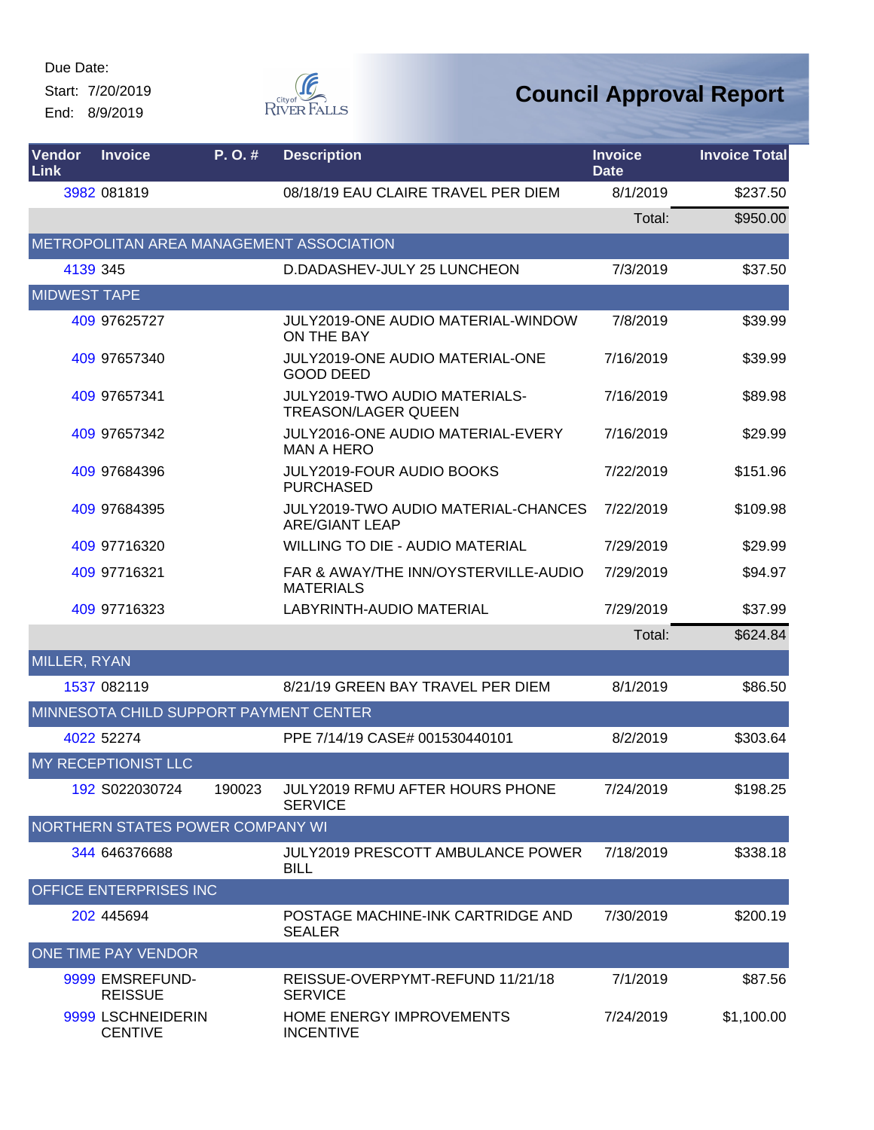Start: 7/20/2019 End: 8/9/2019



| Vendor<br><b>Link</b> | <b>Invoice</b>                         | P. O. # | <b>Description</b>                                                  | <b>Invoice</b><br><b>Date</b> | <b>Invoice Total</b> |
|-----------------------|----------------------------------------|---------|---------------------------------------------------------------------|-------------------------------|----------------------|
|                       | 3982 081819                            |         | 08/18/19 EAU CLAIRE TRAVEL PER DIEM                                 | 8/1/2019                      | \$237.50             |
|                       |                                        |         |                                                                     | Total:                        | \$950.00             |
|                       |                                        |         | METROPOLITAN AREA MANAGEMENT ASSOCIATION                            |                               |                      |
|                       | 4139 345                               |         | D.DADASHEV-JULY 25 LUNCHEON                                         | 7/3/2019                      | \$37.50              |
| <b>MIDWEST TAPE</b>   |                                        |         |                                                                     |                               |                      |
|                       | 409 97625727                           |         | JULY2019-ONE AUDIO MATERIAL-WINDOW<br>ON THE BAY                    | 7/8/2019                      | \$39.99              |
|                       | 409 97657340                           |         | <b>JULY2019-ONE AUDIO MATERIAL-ONE</b><br><b>GOOD DEED</b>          | 7/16/2019                     | \$39.99              |
|                       | 409 97657341                           |         | JULY2019-TWO AUDIO MATERIALS-<br><b>TREASON/LAGER QUEEN</b>         | 7/16/2019                     | \$89.98              |
|                       | 409 97657342                           |         | JULY2016-ONE AUDIO MATERIAL-EVERY<br><b>MAN A HERO</b>              | 7/16/2019                     | \$29.99              |
|                       | 409 97684396                           |         | <b>JULY2019-FOUR AUDIO BOOKS</b><br><b>PURCHASED</b>                | 7/22/2019                     | \$151.96             |
|                       | 409 97684395                           |         | <b>JULY2019-TWO AUDIO MATERIAL-CHANCES</b><br><b>ARE/GIANT LEAP</b> | 7/22/2019                     | \$109.98             |
|                       | 409 97716320                           |         | <b>WILLING TO DIE - AUDIO MATERIAL</b>                              | 7/29/2019                     | \$29.99              |
|                       | 409 97716321                           |         | FAR & AWAY/THE INN/OYSTERVILLE-AUDIO<br><b>MATERIALS</b>            | 7/29/2019                     | \$94.97              |
|                       | 409 97716323                           |         | LABYRINTH-AUDIO MATERIAL                                            | 7/29/2019                     | \$37.99              |
|                       |                                        |         |                                                                     | Total:                        | \$624.84             |
| MILLER, RYAN          |                                        |         |                                                                     |                               |                      |
|                       | 1537 082119                            |         | 8/21/19 GREEN BAY TRAVEL PER DIEM                                   | 8/1/2019                      | \$86.50              |
|                       | MINNESOTA CHILD SUPPORT PAYMENT CENTER |         |                                                                     |                               |                      |
|                       | 4022 52274                             |         | PPE 7/14/19 CASE# 001530440101                                      | 8/2/2019                      | \$303.64             |
|                       | <b>MY RECEPTIONIST LLC</b>             |         |                                                                     |                               |                      |
|                       | 192 S022030724                         | 190023  | <b>JULY2019 RFMU AFTER HOURS PHONE</b><br><b>SERVICE</b>            | 7/24/2019                     | \$198.25             |
|                       | NORTHERN STATES POWER COMPANY WI       |         |                                                                     |                               |                      |
|                       | 344 646376688                          |         | JULY2019 PRESCOTT AMBULANCE POWER<br><b>BILL</b>                    | 7/18/2019                     | \$338.18             |
|                       | OFFICE ENTERPRISES INC                 |         |                                                                     |                               |                      |
|                       | 202 445694                             |         | POSTAGE MACHINE-INK CARTRIDGE AND<br><b>SEALER</b>                  | 7/30/2019                     | \$200.19             |
|                       | <b>ONE TIME PAY VENDOR</b>             |         |                                                                     |                               |                      |
|                       | 9999 EMSREFUND-<br><b>REISSUE</b>      |         | REISSUE-OVERPYMT-REFUND 11/21/18<br><b>SERVICE</b>                  | 7/1/2019                      | \$87.56              |
|                       | 9999 LSCHNEIDERIN<br><b>CENTIVE</b>    |         | HOME ENERGY IMPROVEMENTS<br><b>INCENTIVE</b>                        | 7/24/2019                     | \$1,100.00           |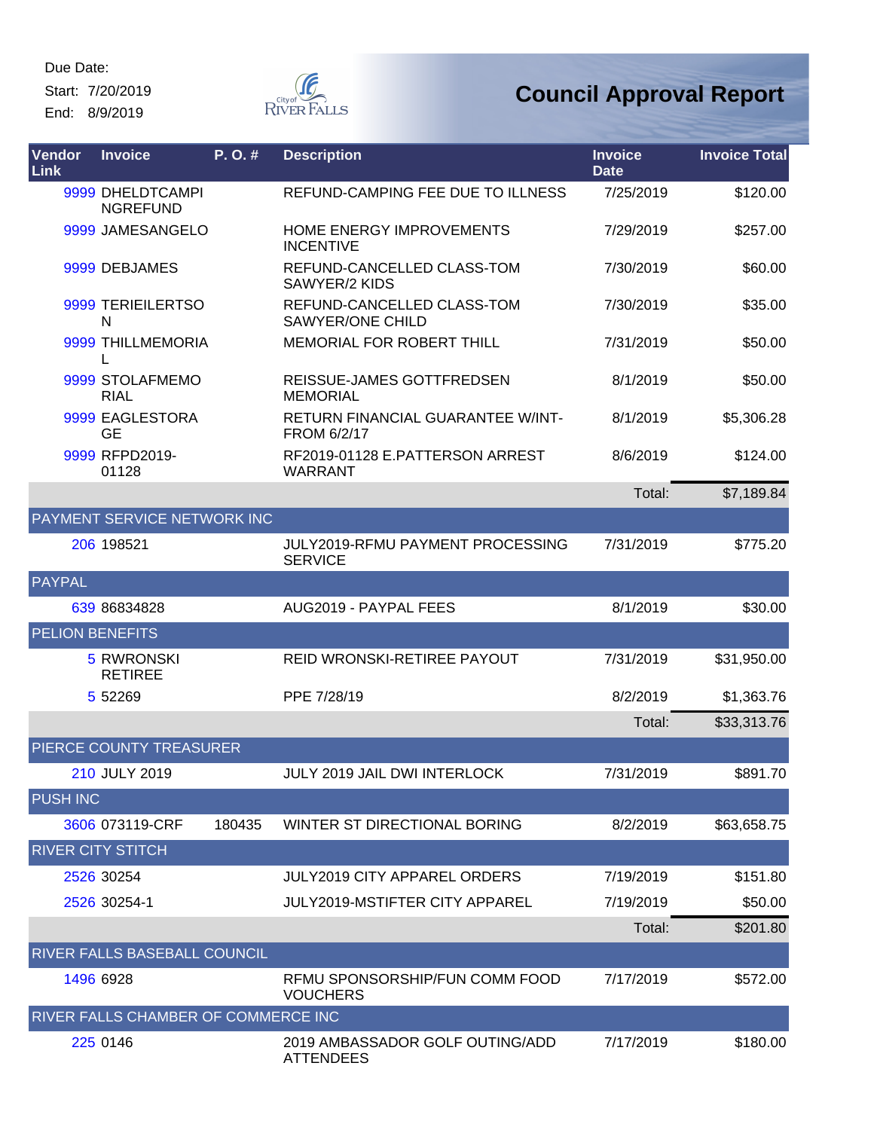Start: 7/20/2019 End: 8/9/2019



| Vendor<br>Link         | <b>Invoice</b>                      | P.O.#  | <b>Description</b>                                    | <b>Invoice</b><br><b>Date</b> | <b>Invoice Total</b> |
|------------------------|-------------------------------------|--------|-------------------------------------------------------|-------------------------------|----------------------|
|                        | 9999 DHELDTCAMPI<br><b>NGREFUND</b> |        | REFUND-CAMPING FEE DUE TO ILLNESS                     | 7/25/2019                     | \$120.00             |
|                        | 9999 JAMESANGELO                    |        | <b>HOME ENERGY IMPROVEMENTS</b><br><b>INCENTIVE</b>   | 7/29/2019                     | \$257.00             |
|                        | 9999 DEBJAMES                       |        | REFUND-CANCELLED CLASS-TOM<br>SAWYER/2 KIDS           | 7/30/2019                     | \$60.00              |
|                        | 9999 TERIEILERTSO<br>N              |        | REFUND-CANCELLED CLASS-TOM<br><b>SAWYER/ONE CHILD</b> | 7/30/2019                     | \$35.00              |
|                        | 9999 THILLMEMORIA<br>L              |        | MEMORIAL FOR ROBERT THILL                             | 7/31/2019                     | \$50.00              |
|                        | 9999 STOLAFMEMO<br><b>RIAL</b>      |        | REISSUE-JAMES GOTTFREDSEN<br><b>MEMORIAL</b>          | 8/1/2019                      | \$50.00              |
|                        | 9999 EAGLESTORA<br><b>GE</b>        |        | RETURN FINANCIAL GUARANTEE W/INT-<br>FROM 6/2/17      | 8/1/2019                      | \$5,306.28           |
|                        | 9999 RFPD2019-<br>01128             |        | RF2019-01128 E.PATTERSON ARREST<br><b>WARRANT</b>     | 8/6/2019                      | \$124.00             |
|                        |                                     |        |                                                       | Total:                        | \$7,189.84           |
|                        | <b>PAYMENT SERVICE NETWORK INC</b>  |        |                                                       |                               |                      |
|                        | 206 198521                          |        | JULY2019-RFMU PAYMENT PROCESSING<br><b>SERVICE</b>    | 7/31/2019                     | \$775.20             |
| <b>PAYPAL</b>          |                                     |        |                                                       |                               |                      |
|                        | 639 86834828                        |        | AUG2019 - PAYPAL FEES                                 | 8/1/2019                      | \$30.00              |
| <b>PELION BENEFITS</b> |                                     |        |                                                       |                               |                      |
|                        | <b>5 RWRONSKI</b><br><b>RETIREE</b> |        | REID WRONSKI-RETIREE PAYOUT                           | 7/31/2019                     | \$31,950.00          |
|                        | 5 5 2 2 6 9                         |        | PPE 7/28/19                                           | 8/2/2019                      | \$1,363.76           |
|                        |                                     |        |                                                       | Total:                        | \$33,313.76          |
|                        | PIERCE COUNTY TREASURER             |        |                                                       |                               |                      |
|                        | 210 JULY 2019                       |        | JULY 2019 JAIL DWI INTERLOCK                          | 7/31/2019                     | \$891.70             |
| <b>PUSH INC</b>        |                                     |        |                                                       |                               |                      |
|                        | 3606 073119-CRF                     | 180435 | WINTER ST DIRECTIONAL BORING                          | 8/2/2019                      | \$63,658.75          |
|                        | <b>RIVER CITY STITCH</b>            |        |                                                       |                               |                      |
|                        | 2526 30254                          |        | <b>JULY2019 CITY APPAREL ORDERS</b>                   | 7/19/2019                     | \$151.80             |
|                        | 2526 30254-1                        |        | <b>JULY2019-MSTIFTER CITY APPAREL</b>                 | 7/19/2019                     | \$50.00              |
|                        |                                     |        |                                                       | Total:                        | \$201.80             |
|                        | RIVER FALLS BASEBALL COUNCIL        |        |                                                       |                               |                      |
|                        | 1496 6928                           |        | RFMU SPONSORSHIP/FUN COMM FOOD<br><b>VOUCHERS</b>     | 7/17/2019                     | \$572.00             |
|                        | RIVER FALLS CHAMBER OF COMMERCE INC |        |                                                       |                               |                      |
|                        | 225 0146                            |        | 2019 AMBASSADOR GOLF OUTING/ADD<br><b>ATTENDEES</b>   | 7/17/2019                     | \$180.00             |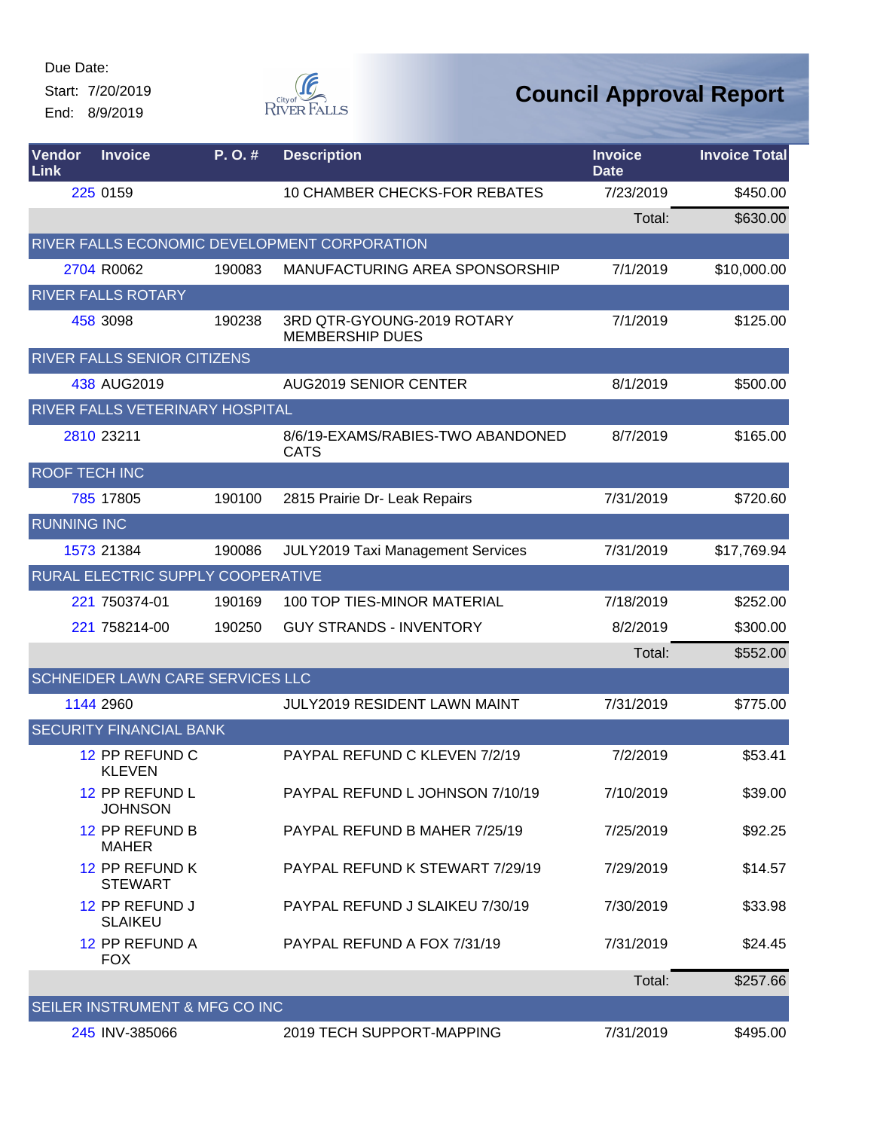Start: 7/20/2019 End: 8/9/2019



| Vendor<br>Link       | <b>Invoice</b>                    | P.O.#  | <b>Description</b>                                   | <b>Invoice</b><br><b>Date</b> | <b>Invoice Total</b> |
|----------------------|-----------------------------------|--------|------------------------------------------------------|-------------------------------|----------------------|
|                      | 225 0159                          |        | 10 CHAMBER CHECKS-FOR REBATES                        | 7/23/2019                     | \$450.00             |
|                      |                                   |        |                                                      | Total:                        | \$630.00             |
|                      |                                   |        | RIVER FALLS ECONOMIC DEVELOPMENT CORPORATION         |                               |                      |
|                      | 2704 R0062                        | 190083 | MANUFACTURING AREA SPONSORSHIP                       | 7/1/2019                      | \$10,000.00          |
|                      | <b>RIVER FALLS ROTARY</b>         |        |                                                      |                               |                      |
|                      | 458 3098                          | 190238 | 3RD QTR-GYOUNG-2019 ROTARY<br><b>MEMBERSHIP DUES</b> | 7/1/2019                      | \$125.00             |
|                      | RIVER FALLS SENIOR CITIZENS       |        |                                                      |                               |                      |
|                      | 438 AUG2019                       |        | <b>AUG2019 SENIOR CENTER</b>                         | 8/1/2019                      | \$500.00             |
|                      | RIVER FALLS VETERINARY HOSPITAL   |        |                                                      |                               |                      |
|                      | 2810 23211                        |        | 8/6/19-EXAMS/RABIES-TWO ABANDONED<br><b>CATS</b>     | 8/7/2019                      | \$165.00             |
| <b>ROOF TECH INC</b> |                                   |        |                                                      |                               |                      |
|                      | 785 17805                         | 190100 | 2815 Prairie Dr- Leak Repairs                        | 7/31/2019                     | \$720.60             |
| <b>RUNNING INC</b>   |                                   |        |                                                      |                               |                      |
|                      | 1573 21384                        | 190086 | JULY2019 Taxi Management Services                    | 7/31/2019                     | \$17,769.94          |
|                      | RURAL ELECTRIC SUPPLY COOPERATIVE |        |                                                      |                               |                      |
|                      | 221 750374-01                     | 190169 | 100 TOP TIES-MINOR MATERIAL                          | 7/18/2019                     | \$252.00             |
|                      | 221 758214-00                     | 190250 | <b>GUY STRANDS - INVENTORY</b>                       | 8/2/2019                      | \$300.00             |
|                      |                                   |        |                                                      | Total:                        | \$552.00             |
|                      | SCHNEIDER LAWN CARE SERVICES LLC  |        |                                                      |                               |                      |
|                      | 1144 2960                         |        | JULY2019 RESIDENT LAWN MAINT                         | 7/31/2019                     | \$775.00             |
|                      | <b>SECURITY FINANCIAL BANK</b>    |        |                                                      |                               |                      |
|                      | 12 PP REFUND C<br><b>KLEVEN</b>   |        | PAYPAL REFUND C KLEVEN 7/2/19                        | 7/2/2019                      | \$53.41              |
|                      | 12 PP REFUND L<br><b>JOHNSON</b>  |        | PAYPAL REFUND L JOHNSON 7/10/19                      | 7/10/2019                     | \$39.00              |
|                      | 12 PP REFUND B<br><b>MAHER</b>    |        | PAYPAL REFUND B MAHER 7/25/19                        | 7/25/2019                     | \$92.25              |
|                      | 12 PP REFUND K<br><b>STEWART</b>  |        | PAYPAL REFUND K STEWART 7/29/19                      | 7/29/2019                     | \$14.57              |
|                      | 12 PP REFUND J<br><b>SLAIKEU</b>  |        | PAYPAL REFUND J SLAIKEU 7/30/19                      | 7/30/2019                     | \$33.98              |
|                      | 12 PP REFUND A<br><b>FOX</b>      |        | PAYPAL REFUND A FOX 7/31/19                          | 7/31/2019                     | \$24.45              |
|                      |                                   |        |                                                      | Total:                        | \$257.66             |
|                      | SEILER INSTRUMENT & MFG CO INC    |        |                                                      |                               |                      |
|                      | 245 INV-385066                    |        | 2019 TECH SUPPORT-MAPPING                            | 7/31/2019                     | \$495.00             |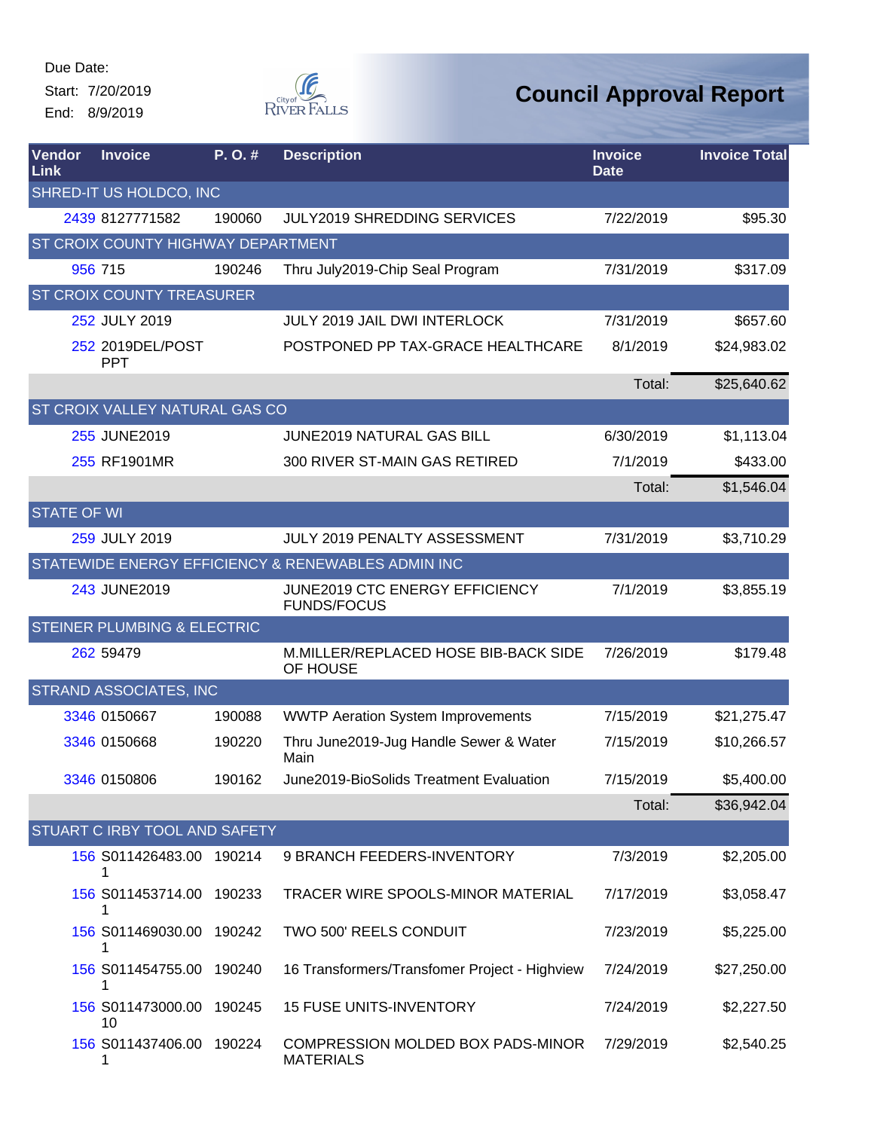Start: 7/20/2019 End: 8/9/2019



| Vendor<br>Link     | <b>Invoice</b>                         | P. O. # | <b>Description</b>                                    | <b>Invoice</b><br><b>Date</b> | <b>Invoice Total</b> |
|--------------------|----------------------------------------|---------|-------------------------------------------------------|-------------------------------|----------------------|
|                    | SHRED-IT US HOLDCO, INC                |         |                                                       |                               |                      |
|                    | 2439 8127771582                        | 190060  | <b>JULY2019 SHREDDING SERVICES</b>                    | 7/22/2019                     | \$95.30              |
|                    | ST CROIX COUNTY HIGHWAY DEPARTMENT     |         |                                                       |                               |                      |
|                    | 956 715                                | 190246  | Thru July2019-Chip Seal Program                       | 7/31/2019                     | \$317.09             |
|                    | <b>ST CROIX COUNTY TREASURER</b>       |         |                                                       |                               |                      |
|                    | 252 JULY 2019                          |         | <b>JULY 2019 JAIL DWI INTERLOCK</b>                   | 7/31/2019                     | \$657.60             |
|                    | 252 2019DEL/POST<br><b>PPT</b>         |         | POSTPONED PP TAX-GRACE HEALTHCARE                     | 8/1/2019                      | \$24,983.02          |
|                    |                                        |         |                                                       | Total:                        | \$25,640.62          |
|                    | <b>ST CROIX VALLEY NATURAL GAS CO</b>  |         |                                                       |                               |                      |
|                    | 255 JUNE2019                           |         | <b>JUNE2019 NATURAL GAS BILL</b>                      | 6/30/2019                     | \$1,113.04           |
|                    | 255 RF1901MR                           |         | 300 RIVER ST-MAIN GAS RETIRED                         | 7/1/2019                      | \$433.00             |
|                    |                                        |         |                                                       | Total:                        | \$1,546.04           |
| <b>STATE OF WI</b> |                                        |         |                                                       |                               |                      |
|                    | 259 JULY 2019                          |         | JULY 2019 PENALTY ASSESSMENT                          | 7/31/2019                     | \$3,710.29           |
|                    |                                        |         | STATEWIDE ENERGY EFFICIENCY & RENEWABLES ADMIN INC    |                               |                      |
|                    | 243 JUNE2019                           |         | JUNE2019 CTC ENERGY EFFICIENCY<br><b>FUNDS/FOCUS</b>  | 7/1/2019                      | \$3,855.19           |
|                    | <b>STEINER PLUMBING &amp; ELECTRIC</b> |         |                                                       |                               |                      |
|                    | 262 59479                              |         | M.MILLER/REPLACED HOSE BIB-BACK SIDE<br>OF HOUSE      | 7/26/2019                     | \$179.48             |
|                    | <b>STRAND ASSOCIATES, INC</b>          |         |                                                       |                               |                      |
|                    | 3346 0150667                           | 190088  | <b>WWTP Aeration System Improvements</b>              | 7/15/2019                     | \$21,275.47          |
|                    | 3346 0150668                           | 190220  | Thru June2019-Jug Handle Sewer & Water<br>Main        | 7/15/2019                     | \$10,266.57          |
|                    | 3346 0150806                           | 190162  | June2019-BioSolids Treatment Evaluation               | 7/15/2019                     | \$5,400.00           |
|                    |                                        |         |                                                       | Total:                        | \$36,942.04          |
|                    | <b>STUART C IRBY TOOL AND SAFETY</b>   |         |                                                       |                               |                      |
|                    | 156 S011426483.00 190214<br>1          |         | 9 BRANCH FEEDERS-INVENTORY                            | 7/3/2019                      | \$2,205.00           |
|                    | 156 S011453714.00 190233               |         | TRACER WIRE SPOOLS-MINOR MATERIAL                     | 7/17/2019                     | \$3,058.47           |
|                    | 156 S011469030.00 190242               |         | TWO 500' REELS CONDUIT                                | 7/23/2019                     | \$5,225.00           |
|                    | 156 S011454755.00 190240<br>1          |         | 16 Transformers/Transfomer Project - Highview         | 7/24/2019                     | \$27,250.00          |
|                    | 156 S011473000.00<br>10                | 190245  | <b>15 FUSE UNITS-INVENTORY</b>                        | 7/24/2019                     | \$2,227.50           |
|                    | 156 S011437406.00 190224<br>1          |         | COMPRESSION MOLDED BOX PADS-MINOR<br><b>MATERIALS</b> | 7/29/2019                     | \$2,540.25           |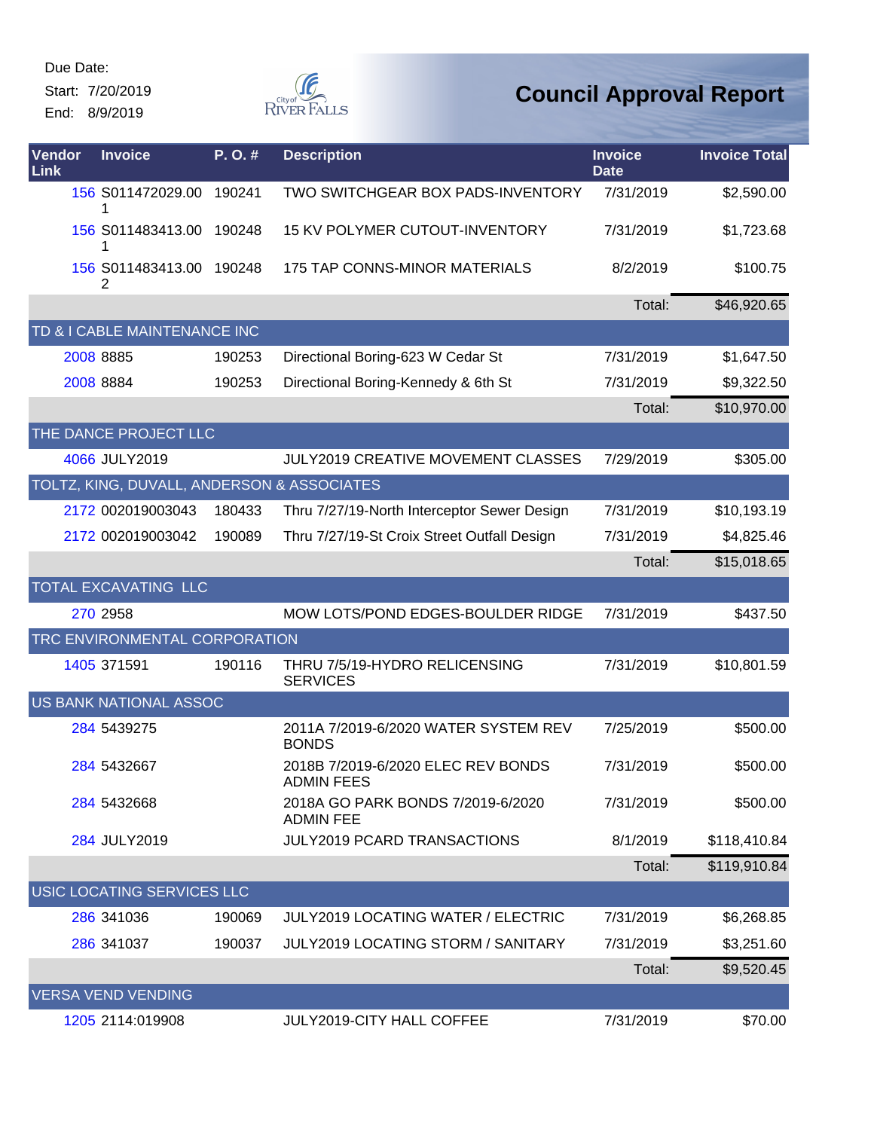Start: 7/20/2019 End: 8/9/2019



| Vendor<br>Link | <b>Invoice</b>                             | P.O.#  | <b>Description</b>                                      | <b>Invoice</b><br><b>Date</b> | <b>Invoice Total</b> |
|----------------|--------------------------------------------|--------|---------------------------------------------------------|-------------------------------|----------------------|
|                | 156 S011472029.00<br>1                     | 190241 | TWO SWITCHGEAR BOX PADS-INVENTORY                       | 7/31/2019                     | \$2,590.00           |
|                | 156 S011483413.00<br>1                     | 190248 | 15 KV POLYMER CUTOUT-INVENTORY                          | 7/31/2019                     | \$1,723.68           |
|                | 156 S011483413.00 190248<br>2              |        | 175 TAP CONNS-MINOR MATERIALS                           | 8/2/2019                      | \$100.75             |
|                |                                            |        |                                                         | Total:                        | \$46,920.65          |
|                | TD & I CABLE MAINTENANCE INC               |        |                                                         |                               |                      |
|                | 2008 8885                                  | 190253 | Directional Boring-623 W Cedar St                       | 7/31/2019                     | \$1,647.50           |
|                | 2008 8884                                  | 190253 | Directional Boring-Kennedy & 6th St                     | 7/31/2019                     | \$9,322.50           |
|                |                                            |        |                                                         | Total:                        | \$10,970.00          |
|                | THE DANCE PROJECT LLC                      |        |                                                         |                               |                      |
|                | 4066 JULY2019                              |        | <b>JULY2019 CREATIVE MOVEMENT CLASSES</b>               | 7/29/2019                     | \$305.00             |
|                | TOLTZ, KING, DUVALL, ANDERSON & ASSOCIATES |        |                                                         |                               |                      |
|                | 2172 002019003043                          | 180433 | Thru 7/27/19-North Interceptor Sewer Design             | 7/31/2019                     | \$10,193.19          |
|                | 2172 002019003042                          | 190089 | Thru 7/27/19-St Croix Street Outfall Design             | 7/31/2019                     | \$4,825.46           |
|                |                                            |        |                                                         | Total:                        | \$15,018.65          |
|                | <b>TOTAL EXCAVATING LLC</b>                |        |                                                         |                               |                      |
|                | 270 2958                                   |        | MOW LOTS/POND EDGES-BOULDER RIDGE                       | 7/31/2019                     | \$437.50             |
|                | TRC ENVIRONMENTAL CORPORATION              |        |                                                         |                               |                      |
|                | 1405 371591                                | 190116 | THRU 7/5/19-HYDRO RELICENSING<br><b>SERVICES</b>        | 7/31/2019                     | \$10,801.59          |
|                | <b>US BANK NATIONAL ASSOC</b>              |        |                                                         |                               |                      |
|                | 284 5439275                                |        | 2011A 7/2019-6/2020 WATER SYSTEM REV<br><b>BONDS</b>    | 7/25/2019                     | \$500.00             |
|                | 284 5432667                                |        | 2018B 7/2019-6/2020 ELEC REV BONDS<br><b>ADMIN FEES</b> | 7/31/2019                     | \$500.00             |
|                | 284 5432668                                |        | 2018A GO PARK BONDS 7/2019-6/2020<br><b>ADMIN FEE</b>   | 7/31/2019                     | \$500.00             |
|                | 284 JULY2019                               |        | <b>JULY2019 PCARD TRANSACTIONS</b>                      | 8/1/2019                      | \$118,410.84         |
|                |                                            |        |                                                         | Total:                        | \$119,910.84         |
|                | USIC LOCATING SERVICES LLC                 |        |                                                         |                               |                      |
|                | 286 341036                                 | 190069 | <b>JULY2019 LOCATING WATER / ELECTRIC</b>               | 7/31/2019                     | \$6,268.85           |
|                | 286 341037                                 | 190037 | <b>JULY2019 LOCATING STORM / SANITARY</b>               | 7/31/2019                     | \$3,251.60           |
|                |                                            |        |                                                         | Total:                        | \$9,520.45           |
|                | <b>VERSA VEND VENDING</b>                  |        |                                                         |                               |                      |
|                | 1205 2114:019908                           |        | JULY2019-CITY HALL COFFEE                               | 7/31/2019                     | \$70.00              |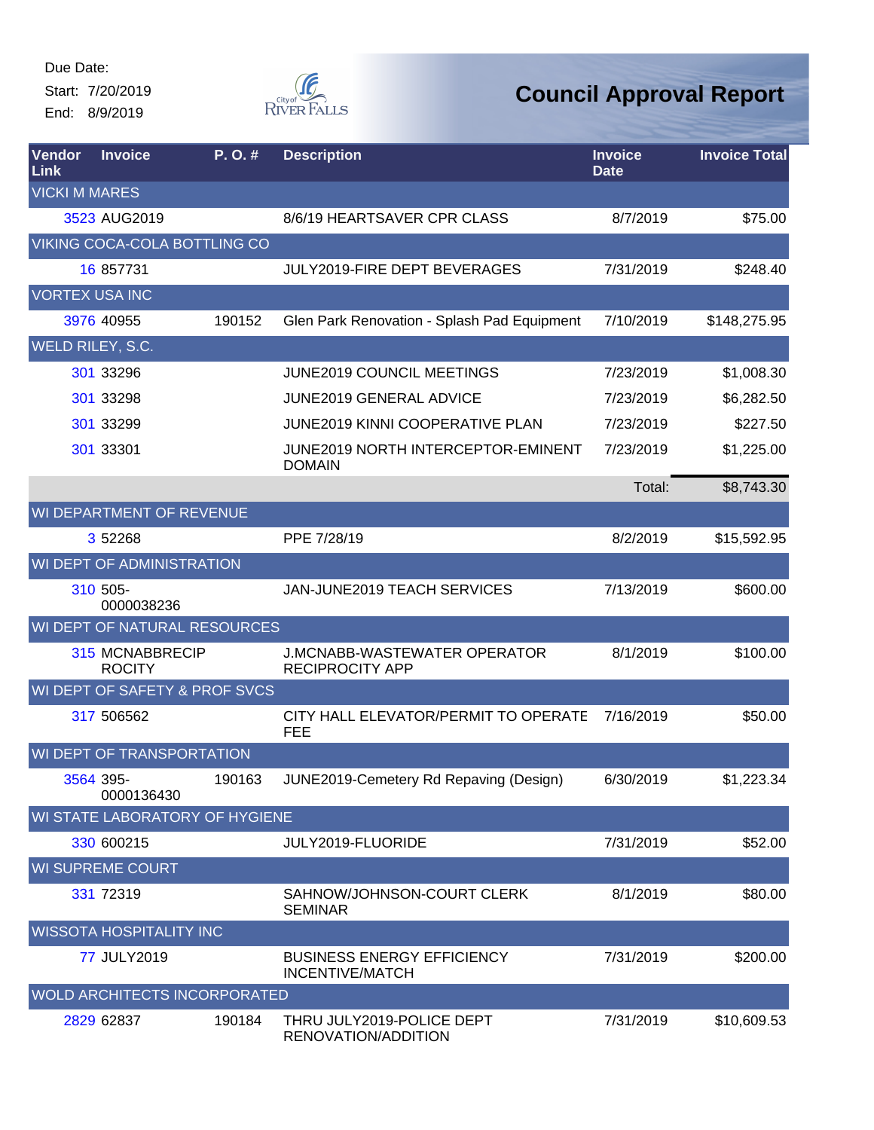Start: 7/20/2019 End: 8/9/2019



| Vendor<br>Link          | <b>Invoice</b>                          | P.O.#  | <b>Description</b>                                            | <b>Invoice</b><br><b>Date</b> | <b>Invoice Total</b> |
|-------------------------|-----------------------------------------|--------|---------------------------------------------------------------|-------------------------------|----------------------|
| <b>VICKI M MARES</b>    |                                         |        |                                                               |                               |                      |
|                         | 3523 AUG2019                            |        | 8/6/19 HEARTSAVER CPR CLASS                                   | 8/7/2019                      | \$75.00              |
|                         | VIKING COCA-COLA BOTTLING CO            |        |                                                               |                               |                      |
|                         | 16 857731                               |        | JULY2019-FIRE DEPT BEVERAGES                                  | 7/31/2019                     | \$248.40             |
| <b>VORTEX USA INC</b>   |                                         |        |                                                               |                               |                      |
|                         | 3976 40955                              | 190152 | Glen Park Renovation - Splash Pad Equipment                   | 7/10/2019                     | \$148,275.95         |
| <b>WELD RILEY, S.C.</b> |                                         |        |                                                               |                               |                      |
|                         | 301 33296                               |        | <b>JUNE2019 COUNCIL MEETINGS</b>                              | 7/23/2019                     | \$1,008.30           |
|                         | 301 33298                               |        | <b>JUNE2019 GENERAL ADVICE</b>                                | 7/23/2019                     | \$6,282.50           |
|                         | 301 33299                               |        | JUNE2019 KINNI COOPERATIVE PLAN                               | 7/23/2019                     | \$227.50             |
|                         | 301 33301                               |        | JUNE2019 NORTH INTERCEPTOR-EMINENT<br><b>DOMAIN</b>           | 7/23/2019                     | \$1,225.00           |
|                         |                                         |        |                                                               | Total:                        | \$8,743.30           |
|                         | WI DEPARTMENT OF REVENUE                |        |                                                               |                               |                      |
|                         | 3 52268                                 |        | PPE 7/28/19                                                   | 8/2/2019                      | \$15,592.95          |
|                         | WI DEPT OF ADMINISTRATION               |        |                                                               |                               |                      |
|                         | 310 505-<br>0000038236                  |        | JAN-JUNE2019 TEACH SERVICES                                   | 7/13/2019                     | \$600.00             |
|                         | WI DEPT OF NATURAL RESOURCES            |        |                                                               |                               |                      |
|                         | <b>315 MCNABBRECIP</b><br><b>ROCITY</b> |        | <b>J.MCNABB-WASTEWATER OPERATOR</b><br><b>RECIPROCITY APP</b> | 8/1/2019                      | \$100.00             |
|                         | WI DEPT OF SAFETY & PROF SVCS           |        |                                                               |                               |                      |
|                         | 317 506562                              |        | CITY HALL ELEVATOR/PERMIT TO OPERATE<br><b>FEE</b>            | 7/16/2019                     | \$50.00              |
|                         | WI DEPT OF TRANSPORTATION               |        |                                                               |                               |                      |
|                         | 3564 395-<br>0000136430                 |        | 190163 JUNE2019-Cemetery Rd Repaving (Design)                 | 6/30/2019                     | \$1,223.34           |
|                         | WI STATE LABORATORY OF HYGIENE          |        |                                                               |                               |                      |
|                         | 330 600215                              |        | JULY2019-FLUORIDE                                             | 7/31/2019                     | \$52.00              |
|                         | <b>WI SUPREME COURT</b>                 |        |                                                               |                               |                      |
|                         | 331 72319                               |        | SAHNOW/JOHNSON-COURT CLERK<br><b>SEMINAR</b>                  | 8/1/2019                      | \$80.00              |
|                         | <b>WISSOTA HOSPITALITY INC</b>          |        |                                                               |                               |                      |
|                         | 77 JULY2019                             |        | <b>BUSINESS ENERGY EFFICIENCY</b><br><b>INCENTIVE/MATCH</b>   | 7/31/2019                     | \$200.00             |
|                         | <b>WOLD ARCHITECTS INCORPORATED</b>     |        |                                                               |                               |                      |
|                         | 2829 62837                              | 190184 | THRU JULY2019-POLICE DEPT<br>RENOVATION/ADDITION              | 7/31/2019                     | \$10,609.53          |